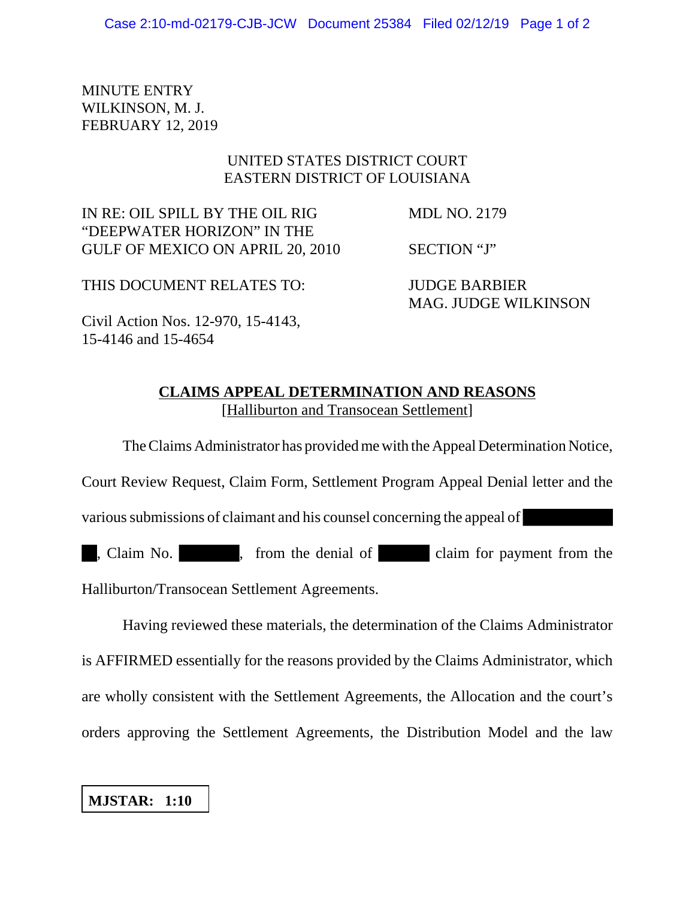MINUTE ENTRY WILKINSON, M. J. FEBRUARY 12, 2019

## UNITED STATES DISTRICT COURT EASTERN DISTRICT OF LOUISIANA

IN RE: OIL SPILL BY THE OIL RIG MDL NO. 2179 "DEEPWATER HORIZON" IN THE GULF OF MEXICO ON APRIL 20, 2010 SECTION "J"

THIS DOCUMENT RELATES TO: JUDGE BARBIER MAG. JUDGE WILKINSON

Civil Action Nos. 12-970, 15-4143,

15-4146 and 15-4654

## **CLAIMS APPEAL DETERMINATION AND REASONS** [Halliburton and Transocean Settlement]

The Claims Administrator has provided me with the Appeal Determination Notice,

Court Review Request, Claim Form, Settlement Program Appeal Denial letter and the

various submissions of claimant and his counsel concerning the appeal of

, Claim No. , from the denial of claim for payment from the

Halliburton/Transocean Settlement Agreements.

Having reviewed these materials, the determination of the Claims Administrator is AFFIRMED essentially for the reasons provided by the Claims Administrator, which are wholly consistent with the Settlement Agreements, the Allocation and the court's orders approving the Settlement Agreements, the Distribution Model and the law

**MJSTAR: 1:10**